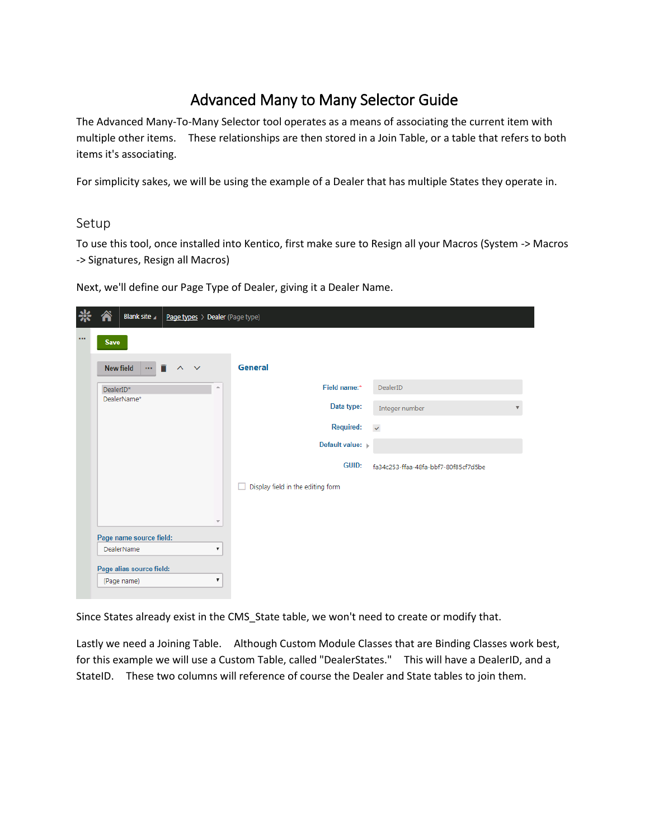## Advanced Many to Many Selector Guide

The Advanced Many-To-Many Selector tool operates as a means of associating the current item with multiple other items. These relationships are then stored in a Join Table, or a table that refers to both items it's associating.

For simplicity sakes, we will be using the example of a Dealer that has multiple States they operate in.

## Setup

To use this tool, once installed into Kentico, first make sure to Resign all your Macros (System -> Macros -> Signatures, Resign all Macros)

Next, we'll define our Page Type of Dealer, giving it a Dealer Name.

|          |                          | Blank site               | Page types > Dealer (Page type)          |                                        |                                      |  |  |  |  |  |
|----------|--------------------------|--------------------------|------------------------------------------|----------------------------------------|--------------------------------------|--|--|--|--|--|
| $\cdots$ | <b>Save</b>              |                          |                                          |                                        |                                      |  |  |  |  |  |
|          |                          | New field                | $\cdots$ $\mathbb{R}$ $\wedge$<br>$\sim$ | General                                |                                      |  |  |  |  |  |
|          | $\triangle$<br>DealerID* |                          |                                          | Field name:*<br>DealerID               |                                      |  |  |  |  |  |
|          | DealerName*              |                          |                                          | Data type:<br>Integer number           | $\overline{\mathbf{v}}$              |  |  |  |  |  |
|          |                          |                          |                                          | <b>Required:</b><br>$\checkmark$       |                                      |  |  |  |  |  |
|          |                          |                          |                                          | Default value:                         |                                      |  |  |  |  |  |
|          |                          |                          |                                          | <b>GUID:</b>                           | fa34c253-ffaa-48fa-bbf7-80f85cf7d5be |  |  |  |  |  |
|          |                          |                          |                                          | Display field in the editing form<br>П |                                      |  |  |  |  |  |
|          |                          |                          |                                          |                                        |                                      |  |  |  |  |  |
|          |                          |                          | $\overline{\phantom{a}}$                 |                                        |                                      |  |  |  |  |  |
|          |                          | Page name source field:  |                                          |                                        |                                      |  |  |  |  |  |
|          |                          | DealerName               | ▼                                        |                                        |                                      |  |  |  |  |  |
|          |                          | Page alias source field: |                                          |                                        |                                      |  |  |  |  |  |
|          |                          | (Page name)              | $\pmb{\mathrm{v}}$                       |                                        |                                      |  |  |  |  |  |

Since States already exist in the CMS\_State table, we won't need to create or modify that.

Lastly we need a Joining Table. Although Custom Module Classes that are Binding Classes work best, for this example we will use a Custom Table, called "DealerStates." This will have a DealerID, and a StateID. These two columns will reference of course the Dealer and State tables to join them.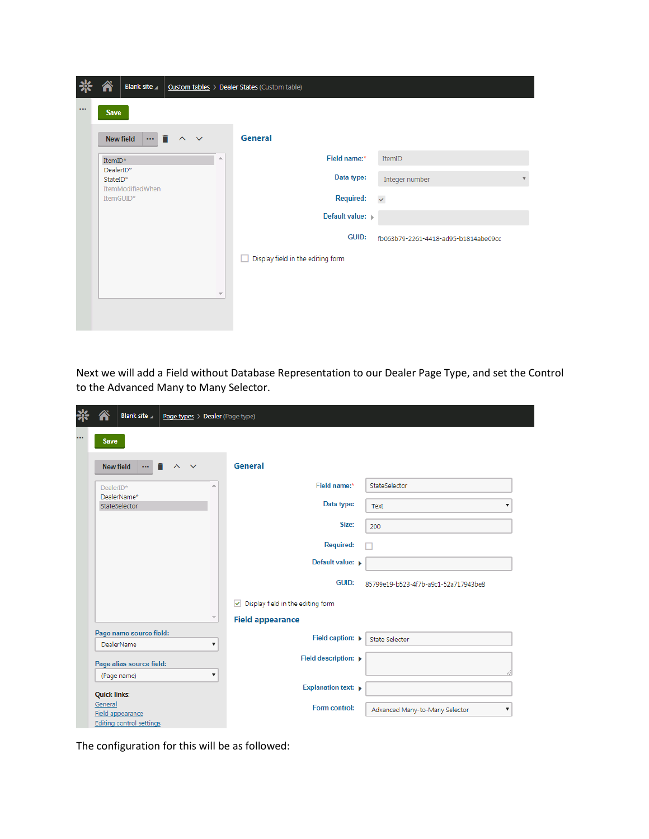|          | Blank site                                       | Custom tables > Dealer States (Custom table) |                                      |
|----------|--------------------------------------------------|----------------------------------------------|--------------------------------------|
| $\cdots$ | <b>Save</b>                                      |                                              |                                      |
|          | n<br>New field<br>$\sim$<br>$\mathbf{\nabla}$    | General                                      |                                      |
|          | ۸<br>ItemID*                                     | Field name:*                                 | ItemID                               |
|          | DealerID*<br>StateID*<br><b>ItemModifiedWhen</b> | Data type:                                   | Integer number<br>▼                  |
|          | ItemGUID*                                        | <b>Required:</b>                             | $\checkmark$                         |
|          |                                                  | Default value:                               |                                      |
|          |                                                  | <b>GUID:</b>                                 | fb063b79-2261-4418-ad95-b1814abe09cc |
|          |                                                  | Display field in the editing form<br>ш       |                                      |
|          |                                                  |                                              |                                      |
|          | $\overline{\phantom{a}}$                         |                                              |                                      |
|          |                                                  |                                              |                                      |

Next we will add a Field without Database Representation to our Dealer Page Type, and set the Control to the Advanced Many to Many Selector.

| <b>Blank site</b><br>Page types > Dealer (Page type)               |                                                       |
|--------------------------------------------------------------------|-------------------------------------------------------|
| <br><b>Save</b>                                                    |                                                       |
| î<br><b>New field</b><br>$\cdots$<br>$\lambda$<br>$\checkmark$     | General                                               |
| A<br>DealerID*                                                     | Field name:*<br>StateSelector                         |
| DealerName*<br>StateSelector                                       | Data type:<br>Text<br>۷.                              |
|                                                                    | Size:<br>200                                          |
|                                                                    | <b>Required:</b>                                      |
|                                                                    | Default value: >                                      |
|                                                                    | <b>GUID:</b><br>85799e19-b523-4f7b-a9c1-52a717943be8  |
|                                                                    | $\triangleright$ Display field in the editing form    |
|                                                                    | <b>Field appearance</b>                               |
| Page name source field:<br>DealerName<br>$\boldsymbol{\mathrm{v}}$ | Field caption: $\rightarrow$<br><b>State Selector</b> |
| Page alias source field:                                           | Field description: $\rightarrow$                      |
| $\boldsymbol{\mathrm{v}}$<br>(Page name)                           |                                                       |
| <b>Quick links:</b>                                                | <b>Explanation text: ▶</b>                            |
| General<br>Field appearance<br>Editing control settings            | Form control:<br>Advanced Many-to-Many Selector<br>▼  |

The configuration for this will be as followed: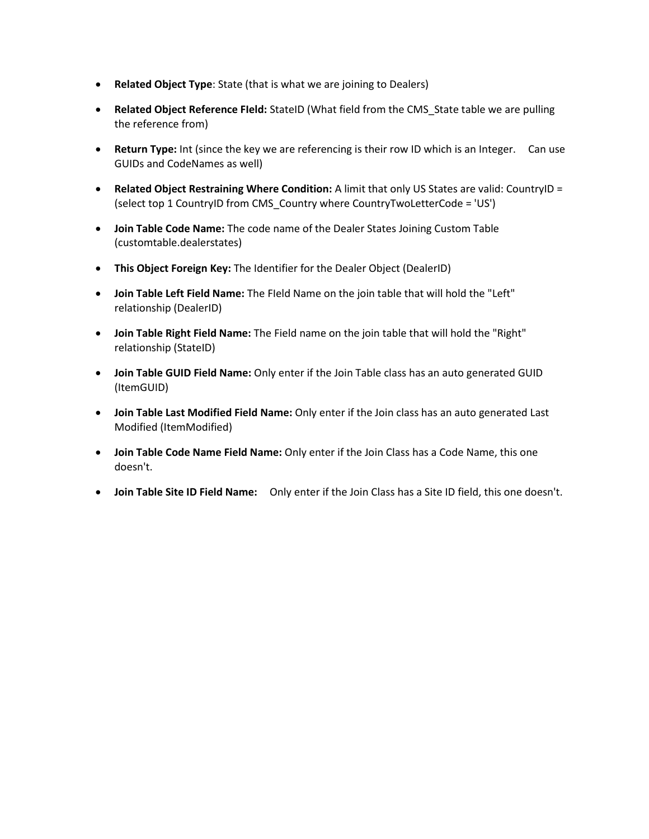- **Related Object Type**: State (that is what we are joining to Dealers)
- **Related Object Reference FIeld:** StateID (What field from the CMS\_State table we are pulling the reference from)
- **Return Type:** Int (since the key we are referencing is their row ID which is an Integer. Can use GUIDs and CodeNames as well)
- **Related Object Restraining Where Condition:** A limit that only US States are valid: CountryID = (select top 1 CountryID from CMS\_Country where CountryTwoLetterCode = 'US')
- **Join Table Code Name:** The code name of the Dealer States Joining Custom Table (customtable.dealerstates)
- **This Object Foreign Key:** The Identifier for the Dealer Object (DealerID)
- **Join Table Left Field Name:** The FIeld Name on the join table that will hold the "Left" relationship (DealerID)
- **Join Table Right Field Name:** The Field name on the join table that will hold the "Right" relationship (StateID)
- **Join Table GUID Field Name:** Only enter if the Join Table class has an auto generated GUID (ItemGUID)
- **Join Table Last Modified Field Name:** Only enter if the Join class has an auto generated Last Modified (ItemModified)
- **Join Table Code Name Field Name:** Only enter if the Join Class has a Code Name, this one doesn't.
- **Join Table Site ID Field Name:** Only enter if the Join Class has a Site ID field, this one doesn't.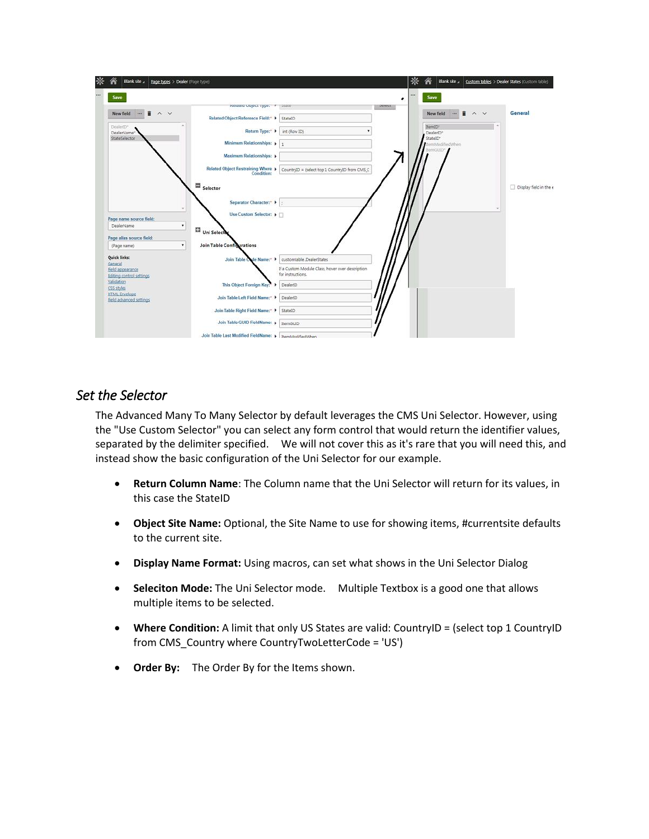| ₩<br>谷<br>Blank site a<br>Page types > Dealer (Page type) |                                                          |                                                  |               | ⋇ | Â<br>Blank site a Custom tables > Dealer States (Custom table) |                        |
|-----------------------------------------------------------|----------------------------------------------------------|--------------------------------------------------|---------------|---|----------------------------------------------------------------|------------------------|
| in.<br>Save                                               |                                                          |                                                  | 111           |   | Save                                                           |                        |
| New field<br>$\sim$ $\vee$<br><b>TELE</b>                 | Kelated Object Type: P State                             |                                                  | <b>Juniut</b> |   | New field<br>î<br>$\sim$ $\vee$<br>                            | General                |
| DealerfD*                                                 | Related Object Reference Field:* ▶                       | StatelD                                          |               |   | ItemID*                                                        |                        |
| DealerName*                                               | Return Type:"                                            | int (Row ID)                                     |               |   | DealerID <sup>®</sup><br>StateID*                              |                        |
| StateSelector                                             | Minimum Relationships: p                                 | $\mathbf{1}$                                     |               |   | ItemModified When                                              |                        |
|                                                           | Maximum Relationships: >                                 |                                                  |               |   | TremGUID"                                                      |                        |
|                                                           | Related Object Restraining Where >                       | CountryID = (select top 1 CountryID from CMS_C   |               |   |                                                                |                        |
|                                                           | $\blacksquare$ $_{\text{Selector}}$                      |                                                  |               |   |                                                                | Display field in the e |
|                                                           | Separator Character:* ▶                                  |                                                  |               |   |                                                                |                        |
| Page name source field:                                   | Use Custom Selector: ▶                                   |                                                  |               |   |                                                                |                        |
| $\star$<br>DealerName                                     | Uni Selector                                             |                                                  |               |   |                                                                |                        |
| Page alias source field:                                  |                                                          |                                                  |               |   |                                                                |                        |
| ۰<br>(Page name)                                          | <b>Join Table Configurations</b>                         |                                                  |               |   |                                                                |                        |
| Quick links:                                              | Join Table C<br>de Name:"                                | customtable.DealerStates                         |               |   |                                                                |                        |
| General<br>Field appearance                               |                                                          | If a Custom Module Class, hover over description |               |   |                                                                |                        |
| Editing control settings                                  |                                                          | for instructions.                                |               |   |                                                                |                        |
| Validation<br>CSS styles                                  | This Object Foreign Key:"                                | DealerID                                         |               |   |                                                                |                        |
| <b>HTML</b> Envelope<br>Field advanced settings           | Join Table Left Field Name:* >                           | DealerID                                         |               |   |                                                                |                        |
|                                                           | Join Table Right Field Name:" > StatelD                  |                                                  |               |   |                                                                |                        |
|                                                           | Join Table GUID FieldName: »                             | <b>ItemGUID</b>                                  |               |   |                                                                |                        |
|                                                           | Join Table Last Modified FieldName: >   ItemModifiedWhen |                                                  |               |   |                                                                |                        |

## *Set the Selector*

The Advanced Many To Many Selector by default leverages the CMS Uni Selector. However, using the "Use Custom Selector" you can select any form control that would return the identifier values, separated by the delimiter specified. We will not cover this as it's rare that you will need this, and instead show the basic configuration of the Uni Selector for our example.

- **Return Column Name**: The Column name that the Uni Selector will return for its values, in this case the StateID
- **Object Site Name:** Optional, the Site Name to use for showing items, #currentsite defaults to the current site.
- **Display Name Format:** Using macros, can set what shows in the Uni Selector Dialog
- **Seleciton Mode:** The Uni Selector mode. Multiple Textbox is a good one that allows multiple items to be selected.
- **Where Condition:** A limit that only US States are valid: CountryID = (select top 1 CountryID from CMS\_Country where CountryTwoLetterCode = 'US')
- **Order By:** The Order By for the Items shown.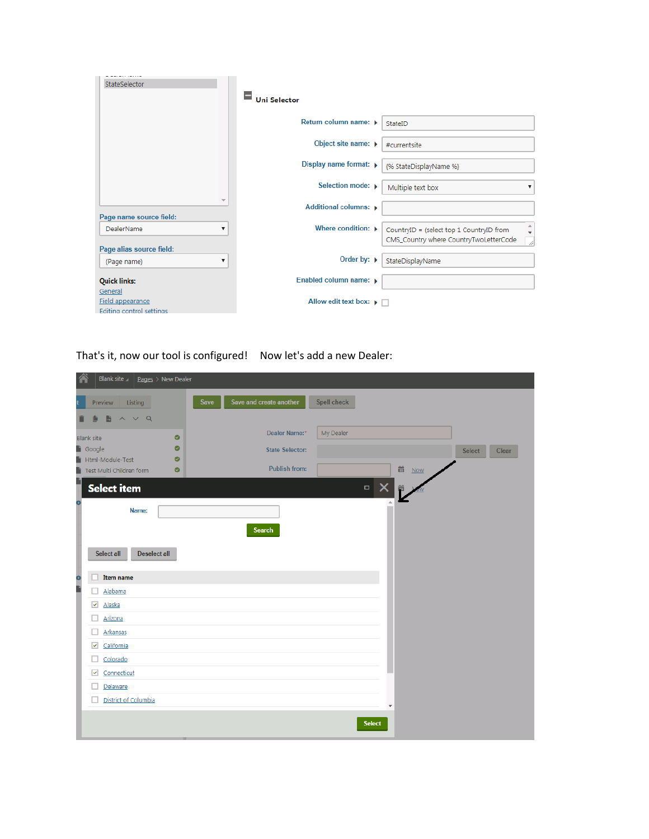| StateSelector                                           |                                                 |                                                                                                              |
|---------------------------------------------------------|-------------------------------------------------|--------------------------------------------------------------------------------------------------------------|
|                                                         | <b>Uni Selector</b>                             |                                                                                                              |
|                                                         | Return column name: ▶                           | StateID                                                                                                      |
|                                                         | Object site name: ▶                             | #currentsite                                                                                                 |
|                                                         | Display name format: $\triangleright$           | {% StateDisplayName %}                                                                                       |
|                                                         | Selection mode: ▶                               | Multiple text box                                                                                            |
| $\overline{\phantom{a}}$                                | Additional columns: ▶                           |                                                                                                              |
| Page name source field:<br>DealerName<br>▼              | Where condition: $\blacktriangleright$          | $\frac{1}{\tau}$<br>CountryID = (select top 1 CountryID from<br>CMS Country where CountryTwoLetterCode<br>.) |
| Page alias source field:<br>▼<br>(Page name)            | Order by: $\rightarrow$                         | StateDisplayName                                                                                             |
| <b>Quick links:</b>                                     | Enabled column name: b                          |                                                                                                              |
| General<br>Field appearance<br>Editing control settings | Allow edit text box: $\blacktriangleright \Box$ |                                                                                                              |

That's it, now our tool is configured! Now let's add a new Dealer:

| Blank site<br>$Pages > New Dealer$     |                                        |                 |                        |
|----------------------------------------|----------------------------------------|-----------------|------------------------|
| Preview<br>Listing                     | Save and create another<br><b>Save</b> | Spell check     |                        |
| $\wedge$ $\vee$ Q<br>в                 |                                        |                 |                        |
| <b>Blank site</b>                      | Dealer Name:*<br>$\bullet$             | My Dealer       |                        |
| <b>i</b> Google                        | $\bullet$<br><b>State Selector:</b>    |                 | <b>Select</b><br>Clear |
| Html-Module-Test<br>п                  | $\bullet$<br>Publish from:             |                 |                        |
| Test Multi Children form               | Ø                                      | m Now           |                        |
| <b>Select item</b>                     |                                        | $\Box$ $\times$ |                        |
| Name:                                  |                                        |                 |                        |
|                                        |                                        |                 |                        |
|                                        | <b>Search</b>                          |                 |                        |
| Select all<br><b>Deselect all</b>      |                                        |                 |                        |
|                                        |                                        |                 |                        |
| Item name                              |                                        |                 |                        |
| Alabama                                |                                        |                 |                        |
| $\overline{\mathbf{v}}$<br>Alaska      |                                        |                 |                        |
| Arizona                                |                                        |                 |                        |
| Arkansas                               |                                        |                 |                        |
| $\overline{\mathbf{v}}$<br>California  |                                        |                 |                        |
| Colorado                               |                                        |                 |                        |
| $\overline{\mathbf{v}}$<br>Connecticut |                                        |                 |                        |
| Delaware                               |                                        |                 |                        |
| District of Columbia                   |                                        | ÷               |                        |
|                                        |                                        |                 |                        |
|                                        |                                        | <b>Select</b>   |                        |